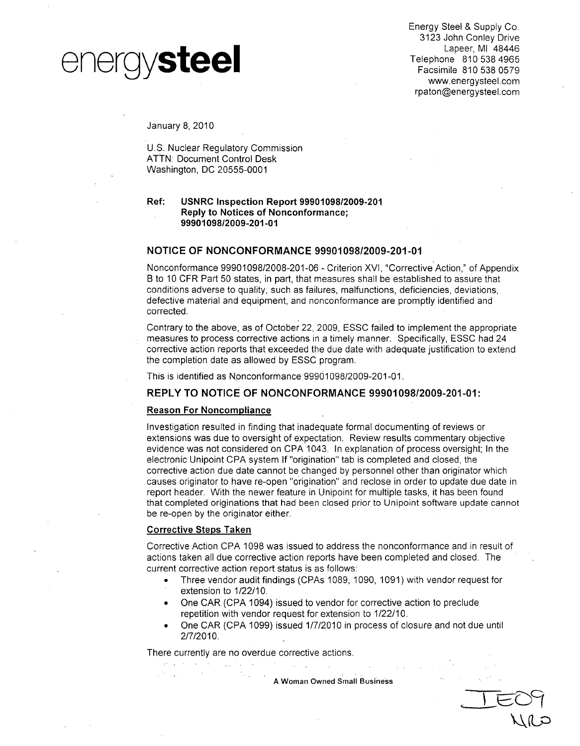

Energy Steel & Supply Co. 3123 John Conley Drive Lapeer, MI 48446 rpaton@energysteel.com

January 8, 2010

U.S. Nuclear Regulatory Commission ATTN: Document Control Desk Washington, DC 20555-0001

#### Ref: **USNRC** Inspection Report **99901098/2009-201** Reply to Notices of Nonconformance; **9990109812009-201-01**

#### **NOTICE** OF **NONCONFORMANCE 99901098/2009-201-01**

Nonconformance 99901098/2008-201-06 - Criterion XVI, "Corrective Action," of Appendix B to 10 CFR Part 50 states, in part, that measures shall be established to assure that conditions adverse to quality, such as failures, malfunctions, deficiencies, deviations, defective material and equipment, and nonconformance are promptly identified and corrected.

Contrary to the above, as of October 22, 2009, ESSC failed to implement the appropriate measures to process corrective actions in a timely manner. Specifically, ESSC had 24 corrective action reports that exceeded the due date with adequate justification to extend the completion date as allowed by ESSC program.

This is identified as Nonconformance 99901098/2009-201-01.

#### REPLY TO **NOTICE** OF **NONCONFORMANCE 99901098/2009-201-01:**

#### Reason For Noncompliance

Investigation resulted in finding that inadequate formal documenting, of reviews or extensions was due to oversight of expectation. Review results commentary objective evidence was not considered on CPA 1043. In explanation of process oversight; In the electronic Unipoint CPA system If "origination" tab is completed and closed, the corrective action due date cannot be changed by personnel other than originator which causes originator to have re-open "origination" and reclose in order to update due date in report header. With the newer feature in Unipoint for multiple tasks, it has been found that completed originations that had been closed prior to Unipoint software update cannot be re-open by the originator either.

#### Corrective Steps Taken

are a construction of the property

Corrective Action CPA 1098 was issued to address the nonconformance and in result of actions taken all due corrective action reports have been completed and closed. The current corrective action report status is as follows:

- **"** Three vendor audit findings (CPAs 1089, 1090, 1091) with vendor request for extension to 1/22/10.
- **"** One CAR (CPA 1094) issued to vendor for corrective action to preclude repetition with vendor request for extension to 1/22/10.
- One CAR (CPA 1099) issued 1/7/2010 in process of closure and not due until 2/7/2010.

There currently are no overdue corrective actions.

**A** Woman Owned Small Business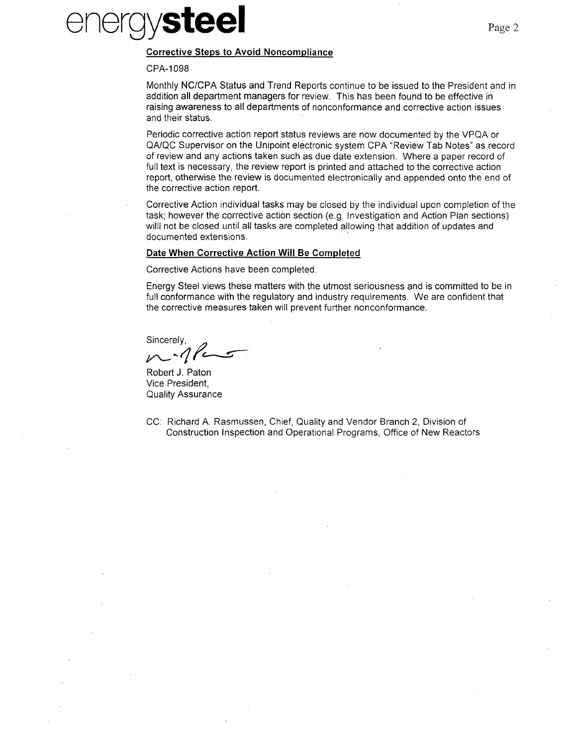# energy**steel**

#### Corrective Steps to Avoid Noncompliance

#### CPA-1 098

Monthly NC/CPA Status and Trend Reports continue to be issued to the President and in addition all department managers for review. This has been found to be effective in raising awareness to all departments of nonconformance and corrective action issues and their status.

Periodic corrective action report status reviews are now documented by the VPQA or QA/QC Supervisor on the Unipoint electronic system CPA "Review Tab Notes" as record of review and any actions taken such as due date extension. Where a paper record of full text is necessary, the review report is printed and attached to the corrective action report, otherwise the review is documented electronically and appended onto the end of the corrective action report.

Corrective Action individual tasks may be closed by the individual upon completion of the task; however the corrective action section (e.g. Investigation and Action Plan sections) willl not be closed until all tasks are completed allowing that addition of updates and documented extensions.

#### Date When Corrective Action Will Be Completed

Corrective Actions have been completed.

Energy Steel views these matters with the utmost seriousness and is committed to be in full conformance with the regulatory and industry requirements. We are confident that the corrective measures taken will prevent further nonconformance.

Sincerely,

Robert J. Paton Vice President, Quality Assurance

CC: Richard A. Rasmussen, Chief, Quality and Vendor Branch 2, Division of Construction Inspection and Operational Programs, Office of New Reactors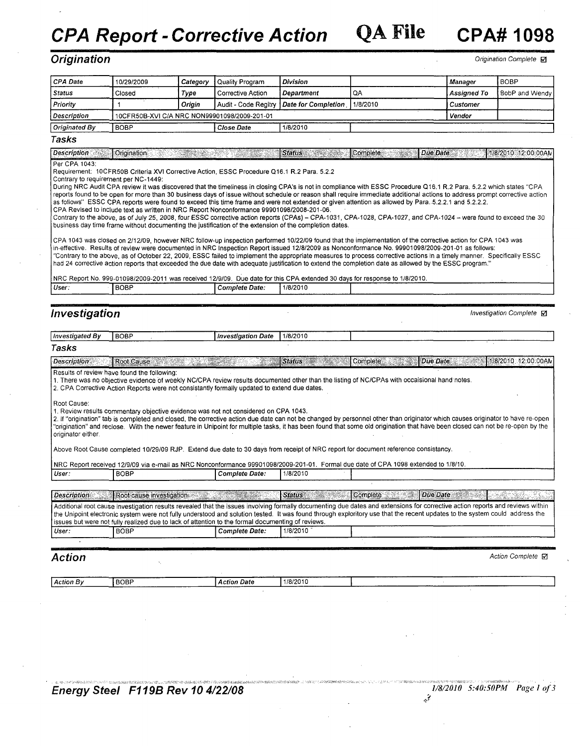*CPA Report* -*Corrective Action* **QA** File **CPA# 1098**

*Origination* Complete *R***<sub>1</sub>** *Origination* Complete *R***<sub>1</sub>** *Origination* **Complete <b>***R* 

| <b>CPA Date</b>                                                                                                                                               | 10/29/2009                                          | Category         | Quality Program                                                                                                                                                                                                  | <b>Division</b>                                                                                                                                                                                                                                  |               | <b>Manager</b>                                                                                                                                                                                                                                                                                                                                                                                                                                                                                                                                                                                                                                                                                                                                                                                                                                                                                                                                                                                                                                                                                                                                                                                                                                                                                                                      | <b>BOBP</b>                            |
|---------------------------------------------------------------------------------------------------------------------------------------------------------------|-----------------------------------------------------|------------------|------------------------------------------------------------------------------------------------------------------------------------------------------------------------------------------------------------------|--------------------------------------------------------------------------------------------------------------------------------------------------------------------------------------------------------------------------------------------------|---------------|-------------------------------------------------------------------------------------------------------------------------------------------------------------------------------------------------------------------------------------------------------------------------------------------------------------------------------------------------------------------------------------------------------------------------------------------------------------------------------------------------------------------------------------------------------------------------------------------------------------------------------------------------------------------------------------------------------------------------------------------------------------------------------------------------------------------------------------------------------------------------------------------------------------------------------------------------------------------------------------------------------------------------------------------------------------------------------------------------------------------------------------------------------------------------------------------------------------------------------------------------------------------------------------------------------------------------------------|----------------------------------------|
| <b>Status</b>                                                                                                                                                 | Closed                                              | Type             | <b>Corrective Action</b>                                                                                                                                                                                         | <b>Department</b>                                                                                                                                                                                                                                | QA            | Assianed To                                                                                                                                                                                                                                                                                                                                                                                                                                                                                                                                                                                                                                                                                                                                                                                                                                                                                                                                                                                                                                                                                                                                                                                                                                                                                                                         | BobP and Wendy                         |
| Priority                                                                                                                                                      | $\mathbf{1}$                                        | Origin           | Audit - Code Regitry                                                                                                                                                                                             | <b>Date for Completion</b>                                                                                                                                                                                                                       | 1/8/2010      | Customer                                                                                                                                                                                                                                                                                                                                                                                                                                                                                                                                                                                                                                                                                                                                                                                                                                                                                                                                                                                                                                                                                                                                                                                                                                                                                                                            |                                        |
| Description                                                                                                                                                   |                                                     |                  | 10CFR50B-XVI C/A NRC NON99901098/2009-201-01                                                                                                                                                                     |                                                                                                                                                                                                                                                  |               | Vendor                                                                                                                                                                                                                                                                                                                                                                                                                                                                                                                                                                                                                                                                                                                                                                                                                                                                                                                                                                                                                                                                                                                                                                                                                                                                                                                              |                                        |
| <b>Originated By</b>                                                                                                                                          | <b>BOBP</b>                                         |                  | <b>Close Date</b>                                                                                                                                                                                                | 1/8/2010                                                                                                                                                                                                                                         |               |                                                                                                                                                                                                                                                                                                                                                                                                                                                                                                                                                                                                                                                                                                                                                                                                                                                                                                                                                                                                                                                                                                                                                                                                                                                                                                                                     |                                        |
| Tasks                                                                                                                                                         |                                                     |                  |                                                                                                                                                                                                                  |                                                                                                                                                                                                                                                  |               |                                                                                                                                                                                                                                                                                                                                                                                                                                                                                                                                                                                                                                                                                                                                                                                                                                                                                                                                                                                                                                                                                                                                                                                                                                                                                                                                     |                                        |
|                                                                                                                                                               |                                                     |                  |                                                                                                                                                                                                                  |                                                                                                                                                                                                                                                  |               |                                                                                                                                                                                                                                                                                                                                                                                                                                                                                                                                                                                                                                                                                                                                                                                                                                                                                                                                                                                                                                                                                                                                                                                                                                                                                                                                     |                                        |
| <b>Description</b><br>Per CPA 1043:                                                                                                                           | Origination                                         | <u>Sangai ya</u> |                                                                                                                                                                                                                  | Status <b>Status</b>                                                                                                                                                                                                                             | Complete      | Due Date                                                                                                                                                                                                                                                                                                                                                                                                                                                                                                                                                                                                                                                                                                                                                                                                                                                                                                                                                                                                                                                                                                                                                                                                                                                                                                                            | 1/8/2010 12:00:00AN                    |
| User:                                                                                                                                                         | Contrary to requirement per NC-1449:<br><b>BOBP</b> |                  | Requirement: 10CFR50B Criteria XVI Corrective Action, ESSC Procedure Q16.1 R.2 Para. 5.2.2<br>CPA Revised to include text as written in NRC Report Nonconformance 99901098/2008-201-06.<br><b>Complete Date:</b> | business day time frame without documenting the justification of the extension of the completion dates.<br>NRC Report No. 999-01098/2009-2011 was received 12/9/09. Due date for this CPA extended 30 days for response to 1/8/2010.<br>1/8/2010 |               | During NRC Audit CPA review it was discovered that the timeliness in closing CPA's is not in compliance with ESSC Procedure Q16.1 R.2 Para. 5.2.2 which states "CPA<br>reports found to be open for more than 30 business days of issue without schedule or reason shall require immediate additional actions to address prompt corrective action<br>as follows" ESSC CPA reports were found to exceed this time frame and were not extended or given attention as allowed by Para. 5.2.2.1 and 5.2.2.2.<br>Contrary to the above, as of July 25, 2008, four ESSC corrective action reports (CPAs) - CPA-1031, CPA-1028, CPA-1027, and CPA-1024 - were found to exceed the 30<br>CPA 1043 was closed on 2/12/09, however NRC follow-up inspection performed 10/22/09 found that the implementation of the corrective action for CPA 1043 was<br>in-effective. Results of review were documented in NRC Inspection Report issued 12/8/2009 as Nonconformance No. 99901098/2009-201-01 as follows:<br>"Contrary to the above, as of October 22, 2009, ESSC failed to implement the appropriate measures to process corrective actions in a timely manner. Specifically ESSC<br>had 24 corrective action reports that exceeded the due date with adequate justification to extend the completion date as allowed by the ESSC program." |                                        |
|                                                                                                                                                               |                                                     |                  |                                                                                                                                                                                                                  |                                                                                                                                                                                                                                                  |               |                                                                                                                                                                                                                                                                                                                                                                                                                                                                                                                                                                                                                                                                                                                                                                                                                                                                                                                                                                                                                                                                                                                                                                                                                                                                                                                                     |                                        |
|                                                                                                                                                               |                                                     |                  |                                                                                                                                                                                                                  |                                                                                                                                                                                                                                                  |               |                                                                                                                                                                                                                                                                                                                                                                                                                                                                                                                                                                                                                                                                                                                                                                                                                                                                                                                                                                                                                                                                                                                                                                                                                                                                                                                                     |                                        |
|                                                                                                                                                               |                                                     |                  |                                                                                                                                                                                                                  |                                                                                                                                                                                                                                                  |               |                                                                                                                                                                                                                                                                                                                                                                                                                                                                                                                                                                                                                                                                                                                                                                                                                                                                                                                                                                                                                                                                                                                                                                                                                                                                                                                                     |                                        |
|                                                                                                                                                               |                                                     |                  |                                                                                                                                                                                                                  |                                                                                                                                                                                                                                                  |               |                                                                                                                                                                                                                                                                                                                                                                                                                                                                                                                                                                                                                                                                                                                                                                                                                                                                                                                                                                                                                                                                                                                                                                                                                                                                                                                                     | <i>Investigation Complete</i> <b>Ø</b> |
|                                                                                                                                                               | <b>BOBP</b>                                         |                  | <b>Investigation Date</b>                                                                                                                                                                                        | 1/8/2010                                                                                                                                                                                                                                         |               |                                                                                                                                                                                                                                                                                                                                                                                                                                                                                                                                                                                                                                                                                                                                                                                                                                                                                                                                                                                                                                                                                                                                                                                                                                                                                                                                     |                                        |
|                                                                                                                                                               |                                                     |                  |                                                                                                                                                                                                                  |                                                                                                                                                                                                                                                  |               |                                                                                                                                                                                                                                                                                                                                                                                                                                                                                                                                                                                                                                                                                                                                                                                                                                                                                                                                                                                                                                                                                                                                                                                                                                                                                                                                     |                                        |
|                                                                                                                                                               | Root Cause                                          | <u>a mata ka</u> |                                                                                                                                                                                                                  | <b>Status</b>                                                                                                                                                                                                                                    | Complete      | Due Date                                                                                                                                                                                                                                                                                                                                                                                                                                                                                                                                                                                                                                                                                                                                                                                                                                                                                                                                                                                                                                                                                                                                                                                                                                                                                                                            |                                        |
|                                                                                                                                                               | Results of review have found the following:         |                  | 2. CPA Corrective Action Reports were not consistantly formally updated to extend due dates.                                                                                                                     | 1. There was no objective evidence of weekly NC/CPA review results documented other than the listing of NC/CPAs with occaisional hand notes.                                                                                                     |               |                                                                                                                                                                                                                                                                                                                                                                                                                                                                                                                                                                                                                                                                                                                                                                                                                                                                                                                                                                                                                                                                                                                                                                                                                                                                                                                                     | 1/8/2010 12:00:00AN                    |
|                                                                                                                                                               |                                                     |                  | 1. Review results commentary objective evidence was not not considered on CPA 1043.                                                                                                                              |                                                                                                                                                                                                                                                  |               | 2. If "origination" tab is completed and closed, the corrective action due date can not be changed by personnel other than originator which causes originator to have re-open<br>"origination" and reclose. With the newer feature in Unipoint for multiple tasks, it has been found that some old origination that have been closed can not be re-open by the                                                                                                                                                                                                                                                                                                                                                                                                                                                                                                                                                                                                                                                                                                                                                                                                                                                                                                                                                                      |                                        |
|                                                                                                                                                               |                                                     |                  |                                                                                                                                                                                                                  | Above Root Cause completed 10/29/09 RJP. Extend due date to 30 days from receipt of NRC report for document reference consistancy.                                                                                                               |               |                                                                                                                                                                                                                                                                                                                                                                                                                                                                                                                                                                                                                                                                                                                                                                                                                                                                                                                                                                                                                                                                                                                                                                                                                                                                                                                                     |                                        |
|                                                                                                                                                               |                                                     |                  |                                                                                                                                                                                                                  | NRC Report received 12/9/09 via e-mail as NRC Nonconformance 99901098/2009-201-01. Formal due date of CPA 1098 extended to 1/8/10.                                                                                                               |               |                                                                                                                                                                                                                                                                                                                                                                                                                                                                                                                                                                                                                                                                                                                                                                                                                                                                                                                                                                                                                                                                                                                                                                                                                                                                                                                                     |                                        |
|                                                                                                                                                               | <b>BOBP</b>                                         |                  | <b>Complete Date:</b>                                                                                                                                                                                            | 1/8/2010                                                                                                                                                                                                                                         |               |                                                                                                                                                                                                                                                                                                                                                                                                                                                                                                                                                                                                                                                                                                                                                                                                                                                                                                                                                                                                                                                                                                                                                                                                                                                                                                                                     |                                        |
|                                                                                                                                                               |                                                     |                  |                                                                                                                                                                                                                  |                                                                                                                                                                                                                                                  |               |                                                                                                                                                                                                                                                                                                                                                                                                                                                                                                                                                                                                                                                                                                                                                                                                                                                                                                                                                                                                                                                                                                                                                                                                                                                                                                                                     |                                        |
|                                                                                                                                                               |                                                     |                  | Root cause investigation and the state of the state of the state of the state of the state of the state of the                                                                                                   | <b>Status</b><br>TANG KA                                                                                                                                                                                                                         | Complete 2008 | Due Date<br>826 - R                                                                                                                                                                                                                                                                                                                                                                                                                                                                                                                                                                                                                                                                                                                                                                                                                                                                                                                                                                                                                                                                                                                                                                                                                                                                                                                 | er 1949                                |
|                                                                                                                                                               |                                                     |                  |                                                                                                                                                                                                                  |                                                                                                                                                                                                                                                  |               | Additional root cause investigation results revealed that the issues involving formally documenting due dates and extensions for corrective action reports and reviews within<br>the Unipoint electronic system were not fully understood and solution tested. It was found through exploritory use that the recent updates to the system could address the                                                                                                                                                                                                                                                                                                                                                                                                                                                                                                                                                                                                                                                                                                                                                                                                                                                                                                                                                                         |                                        |
|                                                                                                                                                               | <b>BOBP</b>                                         |                  | issues but were not fully realized due to lack of attention to the formal documenting of reviews.<br>Complete Date:                                                                                              | 1/8/2010                                                                                                                                                                                                                                         |               |                                                                                                                                                                                                                                                                                                                                                                                                                                                                                                                                                                                                                                                                                                                                                                                                                                                                                                                                                                                                                                                                                                                                                                                                                                                                                                                                     |                                        |
|                                                                                                                                                               |                                                     | $\epsilon$       |                                                                                                                                                                                                                  |                                                                                                                                                                                                                                                  |               |                                                                                                                                                                                                                                                                                                                                                                                                                                                                                                                                                                                                                                                                                                                                                                                                                                                                                                                                                                                                                                                                                                                                                                                                                                                                                                                                     |                                        |
|                                                                                                                                                               | ×,                                                  |                  |                                                                                                                                                                                                                  |                                                                                                                                                                                                                                                  |               |                                                                                                                                                                                                                                                                                                                                                                                                                                                                                                                                                                                                                                                                                                                                                                                                                                                                                                                                                                                                                                                                                                                                                                                                                                                                                                                                     | Action Complete M                      |
| Investigation<br><b>Investigated By</b><br>Tasks<br><b>Description</b><br>Root Cause:<br>originator either.<br>User:<br><b>Description</b><br>User:<br>Action |                                                     |                  |                                                                                                                                                                                                                  |                                                                                                                                                                                                                                                  |               |                                                                                                                                                                                                                                                                                                                                                                                                                                                                                                                                                                                                                                                                                                                                                                                                                                                                                                                                                                                                                                                                                                                                                                                                                                                                                                                                     |                                        |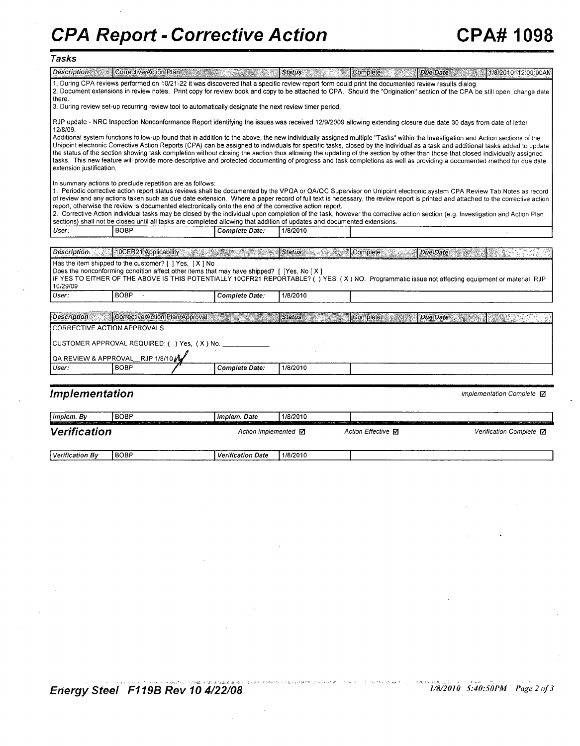### **Tasks**

|                              | Description Corrective Action Plan                        |                                 | <u> ANTONIA (C. 1988)</u>                                                                               | $\sqrt{\frac{1}{1}}$ Status                                                                                                                                                                                                                                                                                                                                                                                                                                                                                                              | Complete: | Due Date | 1/8/2010 12:00:00 AM                                                                                                                                                           |
|------------------------------|-----------------------------------------------------------|---------------------------------|---------------------------------------------------------------------------------------------------------|------------------------------------------------------------------------------------------------------------------------------------------------------------------------------------------------------------------------------------------------------------------------------------------------------------------------------------------------------------------------------------------------------------------------------------------------------------------------------------------------------------------------------------------|-----------|----------|--------------------------------------------------------------------------------------------------------------------------------------------------------------------------------|
| there.                       |                                                           |                                 |                                                                                                         | 1. During CPA reviews performed on 10/21-22 it was discovered that a specific review report form could print the documented review results dialog.                                                                                                                                                                                                                                                                                                                                                                                       |           |          | 2. Document extensions in review notes. Print copy for review book and copy to be attached to CPA. Should the "Origination" section of the CPA be still open, change date      |
|                              |                                                           |                                 | 3. During review set-up recurring review tool to automatically designate the next review timer period.  |                                                                                                                                                                                                                                                                                                                                                                                                                                                                                                                                          |           |          |                                                                                                                                                                                |
| 12/8/09.                     |                                                           |                                 |                                                                                                         | RJP update - NRC Inspection Nonconformance Report identifying the issues was received 12/9/2009 allowing extending closure due date 30 days from date of letter                                                                                                                                                                                                                                                                                                                                                                          |           |          |                                                                                                                                                                                |
| extension justification.     |                                                           |                                 |                                                                                                         | Additional system functions follow-up found that in addition to the above, the new individually assigned multiple "Tasks" within the Investigation and Action sections of the<br>the status of the section showing task completion without closing the section thus allowing the updating of the section by other than those that closed individually assigned<br>tasks. This new feature will provide more descriptive and protected documenting of progress and task completions as well as providing a documented method for due date |           |          | Unipoint electronic Corrective Action Reports (CPA) can be assigned to individuals for specific tasks, closed by the individual as a task and additional tasks added to update |
|                              | In summary actions to preclude repetition are as follows: |                                 | report, otherwise the review is documented electronically onto the end of the corrective action report. | 1. Periodic corrective action report status reviews shall be documented by the VPQA or QA/QC Supervisor on Unipoint electronic system CPA Review Tab Notes as record<br>2. Corrective Action individual tasks may be closed by the individual upon completion of the task, however the corrective action section (e.g. Investigation and Action Plan<br>sections) shall not be closed until all tasks are completed allowing that addition of updates and documented extensions.                                                         |           |          | of review and any actions taken such as due date extension. Where a paper record of full text is necessary, the review report is printed and attached to the corrective action |
| User:                        | <b>BOBP</b>                                               |                                 | Complete Date:                                                                                          | 1/8/2010                                                                                                                                                                                                                                                                                                                                                                                                                                                                                                                                 |           |          |                                                                                                                                                                                |
|                              |                                                           |                                 |                                                                                                         |                                                                                                                                                                                                                                                                                                                                                                                                                                                                                                                                          |           |          |                                                                                                                                                                                |
|                              | Description 1. 10CFR21 Applicability                      |                                 | an an Dùbhlach an Dùbhlach.<br>T                                                                        | <b>Status</b><br>a ali                                                                                                                                                                                                                                                                                                                                                                                                                                                                                                                   | Complete  | Due Date |                                                                                                                                                                                |
| 10/29/09                     | Has the item shipped to the customer? [ ] Yes, [X] No     |                                 | Does the nonconforming condition affect other items that may have shipped? [ ]Yes, No [X]               | IF YES TO EITHER OF THE ABOVE IS THIS POTENTIALLY 10CFR21 REPORTABLE? () YES. (X) NO. Programmatic issue not affecting equipment or material, RJP                                                                                                                                                                                                                                                                                                                                                                                        |           |          |                                                                                                                                                                                |
| User:                        | BOBP ·                                                    |                                 | <b>Complete Date:</b>                                                                                   | 1/8/2010                                                                                                                                                                                                                                                                                                                                                                                                                                                                                                                                 |           |          |                                                                                                                                                                                |
|                              |                                                           |                                 |                                                                                                         |                                                                                                                                                                                                                                                                                                                                                                                                                                                                                                                                          |           |          |                                                                                                                                                                                |
| <b>Description</b>           |                                                           | Corrective Action Plan Approval |                                                                                                         | Status                                                                                                                                                                                                                                                                                                                                                                                                                                                                                                                                   | Complete  | Due Date | w                                                                                                                                                                              |
|                              | CORRECTIVE ACTION APPROVALS                               |                                 |                                                                                                         |                                                                                                                                                                                                                                                                                                                                                                                                                                                                                                                                          |           |          |                                                                                                                                                                                |
|                              | CUSTOMER APPROVAL REQUIRED: ( ) Yes, (X) No.              |                                 |                                                                                                         |                                                                                                                                                                                                                                                                                                                                                                                                                                                                                                                                          |           |          |                                                                                                                                                                                |
|                              | QA REVIEW & APPROVAL RJP 1/8/10                           |                                 |                                                                                                         |                                                                                                                                                                                                                                                                                                                                                                                                                                                                                                                                          |           |          |                                                                                                                                                                                |
| User:                        | <b>BOBP</b>                                               |                                 | <b>Complete Date:</b>                                                                                   | 1/8/2010                                                                                                                                                                                                                                                                                                                                                                                                                                                                                                                                 |           |          |                                                                                                                                                                                |
|                              |                                                           |                                 |                                                                                                         |                                                                                                                                                                                                                                                                                                                                                                                                                                                                                                                                          |           |          |                                                                                                                                                                                |
|                              |                                                           |                                 |                                                                                                         |                                                                                                                                                                                                                                                                                                                                                                                                                                                                                                                                          |           |          |                                                                                                                                                                                |
| <i><b>Implementation</b></i> |                                                           |                                 |                                                                                                         |                                                                                                                                                                                                                                                                                                                                                                                                                                                                                                                                          |           |          | Implementation Complete <b>Ø</b>                                                                                                                                               |
|                              |                                                           |                                 |                                                                                                         |                                                                                                                                                                                                                                                                                                                                                                                                                                                                                                                                          |           |          |                                                                                                                                                                                |

| Implem. By        | <b>BOBP</b>                                                                                                                                       | Implem. Date                                                                  | 1/8/2010                                                           |                                     |                                                                                  |
|-------------------|---------------------------------------------------------------------------------------------------------------------------------------------------|-------------------------------------------------------------------------------|--------------------------------------------------------------------|-------------------------------------|----------------------------------------------------------------------------------|
| Verification      | responsibility to a surface that the substitution of the control of the set of the set of the set of the<br>and the company's company's company's | the property company of the company of the company of<br>Action Implemented M | in the state of the state program to gap commissions. Then we have | a down<br>Action Effective <b>⊠</b> | continued and control investment standard control and<br>Verification Complete M |
| l Verification Bv | <b>BOBP</b>                                                                                                                                       | <b>Verification Date</b>                                                      | 1/8/2010                                                           |                                     |                                                                                  |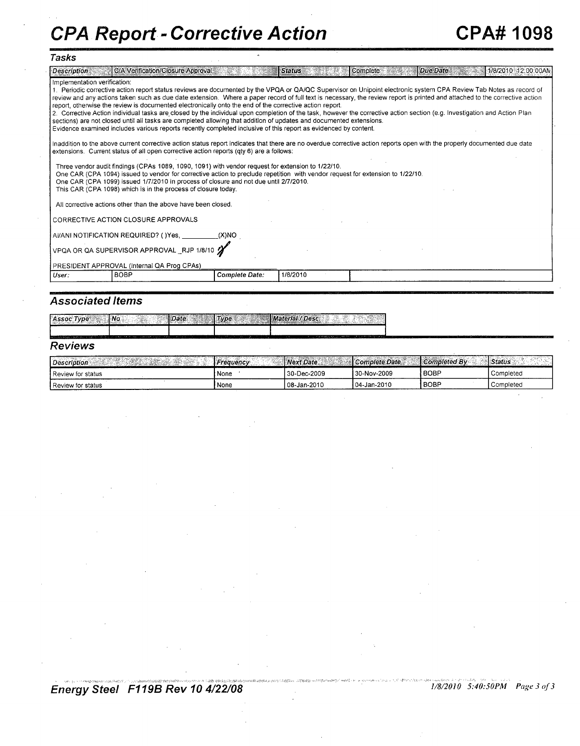## **Tasks**

| Description                                                                                                                                                        | C/A Verification/Closure Approval                                                                                                                                                                                                                                                      |                       | <b>Status</b> | Complete | Due Date | 1/8/2010 12:00:00AN |  |  |  |
|--------------------------------------------------------------------------------------------------------------------------------------------------------------------|----------------------------------------------------------------------------------------------------------------------------------------------------------------------------------------------------------------------------------------------------------------------------------------|-----------------------|---------------|----------|----------|---------------------|--|--|--|
| Implementation verification:                                                                                                                                       |                                                                                                                                                                                                                                                                                        |                       |               |          |          |                     |  |  |  |
| 1. Periodic corrective action report status reviews are documented by the VPQA or QA/QC Supervisor on Unipoint electronic system CPA Review Tab Notes as record of |                                                                                                                                                                                                                                                                                        |                       |               |          |          |                     |  |  |  |
|                                                                                                                                                                    | review and any actions taken such as due date extension. Where a paper record of full text is necessary, the review report is printed and attached to the corrective action<br>report, otherwise the review is documented electronically onto the end of the corrective action report. |                       |               |          |          |                     |  |  |  |
|                                                                                                                                                                    | 2. Corrective Action individual tasks are closed by the individual upon completion of the task, however the corrective action section (e.g. Investigation and Action Plan                                                                                                              |                       |               |          |          |                     |  |  |  |
|                                                                                                                                                                    | sections) are not closed until all tasks are completed allowing that addition of updates and documented extensions.                                                                                                                                                                    |                       |               |          |          |                     |  |  |  |
|                                                                                                                                                                    | Evidence examined includes various reports recently completed inclusive of this report as evidenced by content.                                                                                                                                                                        |                       |               |          |          |                     |  |  |  |
|                                                                                                                                                                    |                                                                                                                                                                                                                                                                                        |                       |               |          |          |                     |  |  |  |
|                                                                                                                                                                    | Inaddition to the above current corrective action status report indicates that there are no overdue corrective action reports open with the properly documented due date<br>extensions. Current status of all open corrective action reports (qty 6) are a follows:                    |                       |               |          |          |                     |  |  |  |
|                                                                                                                                                                    |                                                                                                                                                                                                                                                                                        |                       |               |          |          |                     |  |  |  |
|                                                                                                                                                                    | Three vendor audit findings (CPAs 1089, 1090, 1091) with vendor request for extension to 1/22/10.                                                                                                                                                                                      |                       |               |          |          |                     |  |  |  |
|                                                                                                                                                                    | One CAR (CPA 1094) issued to vendor for corrective action to preclude repetition with vendor request for extension to 1/22/10.<br>One CAR (CPA 1099) issued 1/7/2010 in process of closure and not due until 2/7/2010.                                                                 |                       |               |          |          |                     |  |  |  |
|                                                                                                                                                                    | This CAR (CPA 1098) which is in the process of closure today.                                                                                                                                                                                                                          |                       |               |          |          |                     |  |  |  |
|                                                                                                                                                                    |                                                                                                                                                                                                                                                                                        |                       |               |          |          |                     |  |  |  |
|                                                                                                                                                                    | All corrective actions other than the above have been closed.                                                                                                                                                                                                                          |                       |               |          |          |                     |  |  |  |
|                                                                                                                                                                    | CORRECTIVE ACTION CLOSURE APPROVALS                                                                                                                                                                                                                                                    |                       |               |          |          |                     |  |  |  |
|                                                                                                                                                                    |                                                                                                                                                                                                                                                                                        |                       |               |          |          |                     |  |  |  |
| AI/ANI NOTIFICATION REQUIRED? ( )Yes, ___________(X)NO                                                                                                             |                                                                                                                                                                                                                                                                                        |                       |               |          |          |                     |  |  |  |
| VPQA OR QA SUPERVISOR APPROVAL _RJP 1/8/10                                                                                                                         |                                                                                                                                                                                                                                                                                        |                       |               |          |          |                     |  |  |  |
|                                                                                                                                                                    |                                                                                                                                                                                                                                                                                        |                       |               |          |          |                     |  |  |  |
|                                                                                                                                                                    | PRESIDENT APPROVAL (Internal QA Prog CPAs)                                                                                                                                                                                                                                             |                       |               |          |          |                     |  |  |  |
| User:                                                                                                                                                              | <b>BOBP</b>                                                                                                                                                                                                                                                                            | <b>Complete Date:</b> | 1/8/2010      |          |          |                     |  |  |  |

### *Associated Items*

*J's-ocTk~e ~AINo Dpate T* ,,p *Llf>, ia / Dael* **esc.** ... <sup>&</sup>gt;

#### *Reviews*

| Description              | <i>-reauencv</i> | Next Date     | <b>Complete Date</b> | Completed By | Status    |
|--------------------------|------------------|---------------|----------------------|--------------|-----------|
| I Review for status      | `None            | 30-Dec-2009   | 30-Nov-2009          | i BOBP       | Completed |
| <b>Review for status</b> | ' None           | l 08-Jan-2010 | 104-Jan-2010         | <b>BOBP</b>  | Completed |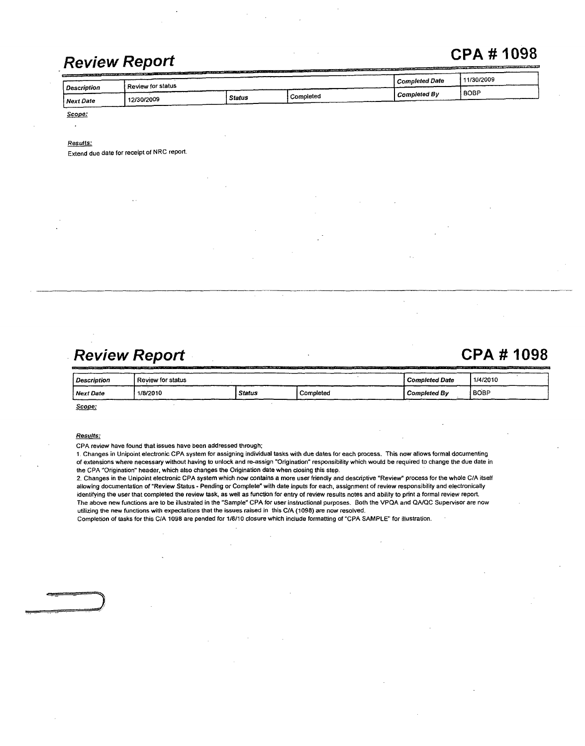## *Review Report* CPA # 1098

| Review for status<br>Description<br>I BOBP<br>Completed By<br>Completed<br><b>Status</b> | 11/30/2009<br><b>Completed Date</b> |            |  |  |  |  |  |  |  |
|------------------------------------------------------------------------------------------|-------------------------------------|------------|--|--|--|--|--|--|--|
|                                                                                          |                                     |            |  |  |  |  |  |  |  |
|                                                                                          | <i>Next Date</i>                    | 12/30/2009 |  |  |  |  |  |  |  |

Scope:  $\ddot{\phantom{a}}$ 

#### *Results:*

Extend due date for receipt of NRC report.

## *Review Report* CPA # 1098

| Description      | Review for status | Completed Date | 1/4/2010  |                     |        |
|------------------|-------------------|----------------|-----------|---------------------|--------|
| <i>Next Date</i> | 1/8/2010          | <b>Status</b>  | Completed | <b>Completed By</b> | I BOBP |

Scope:

#### *Results:*

CPA review have found that issues have been addressed through;

1. Changes in Unipoint electronic CPA system for assigning individual tasks with due dates for each process. This now allows formal documenting of extensions where necessary without having to unlock and re-assign "Origination" responsibility which would be required to change the due date in the CPA "Origination" header, which also changes the Origination date when dosing this step.

2. Changes in the Unipoint electronic CPA system which now contains a more user friendly and descriptive "Review" process for the whole C/A itself allowing documentation of "Review Status - Pending or Complete" with date inputs for each, assignment of review responsibility and electronically identifying the user that completed the review task, as well as function for entry of review results notes and ability to print a formal review report. The above new functions are to be illustrated in the "Sample" CPA for user instructional purposes. Both the VPQA and **QA/QC** Supervisor are now utilizing the new functions with expectations that the issues raised in this C/A (1098) are now resolved.

Completion of tasks for this C/A 1098 are pended for 1/8/10 closure which include formatting of "CPA SAMPLE" for illustration.